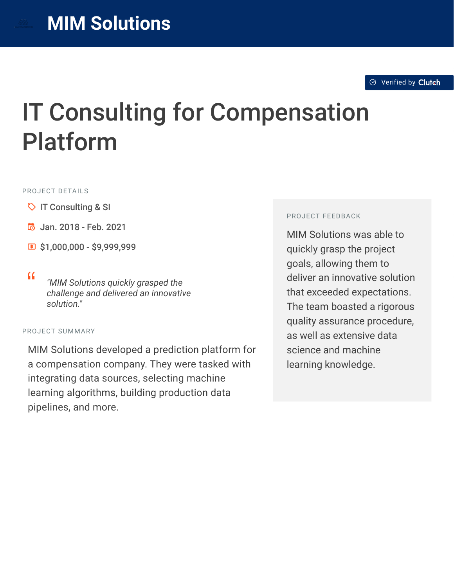# IT Consulting for Compensation Platform

#### PROJECT DETAILS

- $\heartsuit$  IT Consulting & SI
- B Jan. 2018 Feb. 2021
- $51,000,000 $9,999,999$
- <sup>D</sup> *"MIM Solutions quickly grasped the challenge and delivered an innovative solution."*

#### PROJECT SUMMARY

MIM Solutions developed a prediction platform for a compensation company. They were tasked with integrating data sources, selecting machine learning algorithms, building production data pipelines, and more.

#### PROJECT FEEDBACK

MIM Solutions was able to quickly grasp the project goals, allowing them to deliver an innovative solution that exceeded expectations. The team boasted a rigorous quality assurance procedure, as well as extensive data science and machine learning knowledge.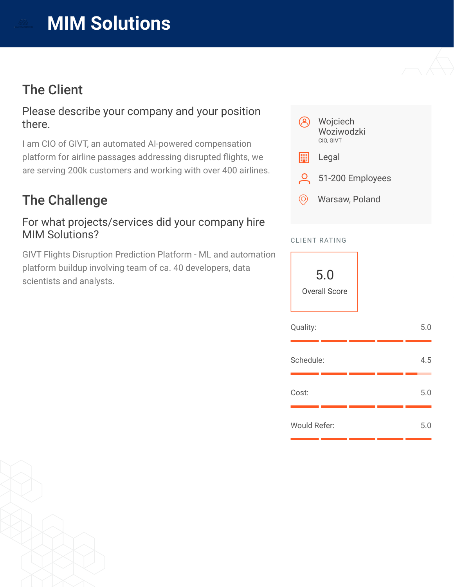

## The Client

#### Please describe your company and your position there.

I am CIO of GIVT, an automated AI-powered compensation platform for airline passages addressing disrupted flights, we are serving 200k customers and working with over 400 airlines.

# The Challenge

#### For what projects/services did your company hire MIM Solutions?

GIVT Flights Disruption Prediction Platform - ML and automation platform buildup involving team of ca. 40 developers, data scientists and analysts.



#### CLIENT RATING

5.0 Overall Score

| Quality:            |  | 5.0 |
|---------------------|--|-----|
| Schedule:           |  | 4.5 |
| Cost:               |  | 5.0 |
| <b>Would Refer:</b> |  | 5.0 |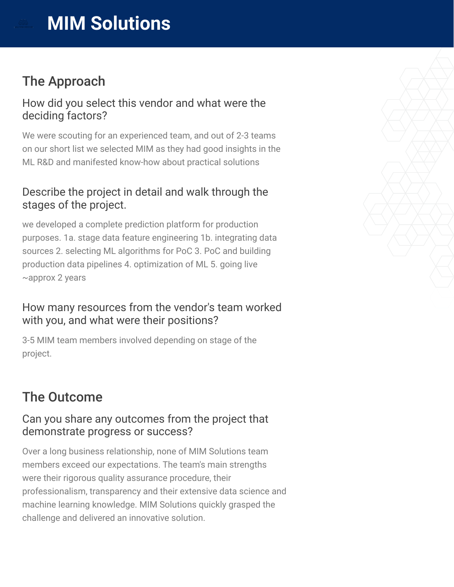

## The Approach

#### How did you select this vendor and what were the deciding factors?

We were scouting for an experienced team, and out of 2-3 teams on our short list we selected MIM as they had good insights in the ML R&D and manifested know-how about practical solutions

## Describe the project in detail and walk through the stages of the project.

we developed a complete prediction platform for production purposes. 1a. stage data feature engineering 1b. integrating data sources 2. selecting ML algorithms for PoC 3. PoC and building production data pipelines 4. optimization of ML 5. going live ~approx 2 years

#### How many resources from the vendor's team worked with you, and what were their positions?

3-5 MIM team members involved depending on stage of the project.

# The Outcome

## Can you share any outcomes from the project that demonstrate progress or success?

Over a long business relationship, none of MIM Solutions team members exceed our expectations. The team's main strengths were their rigorous quality assurance procedure, their professionalism, transparency and their extensive data science and machine learning knowledge. MIM Solutions quickly grasped the challenge and delivered an innovative solution.